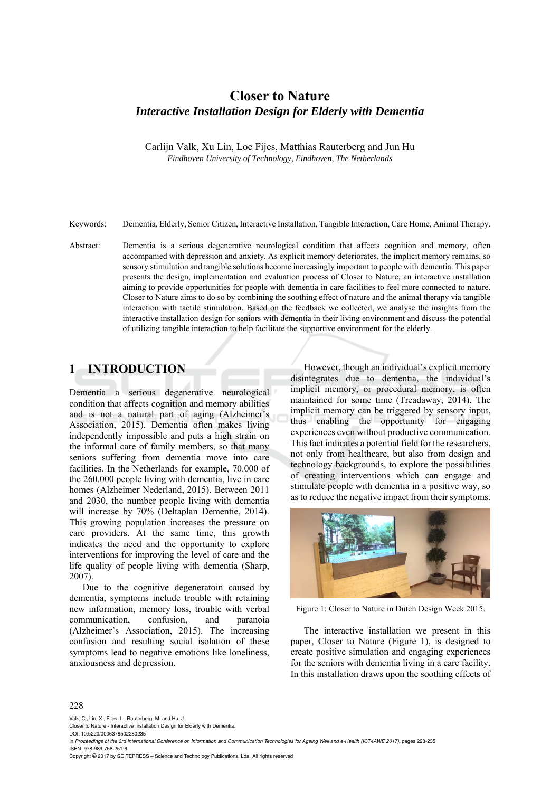# **Closer to Nature**  *Interactive Installation Design for Elderly with Dementia*

Carlijn Valk, Xu Lin, Loe Fijes, Matthias Rauterberg and Jun Hu *Eindhoven University of Technology, Eindhoven, The Netherlands* 

Keywords: Dementia, Elderly, Senior Citizen, Interactive Installation, Tangible Interaction, Care Home, Animal Therapy.

Abstract: Dementia is a serious degenerative neurological condition that affects cognition and memory, often accompanied with depression and anxiety. As explicit memory deteriorates, the implicit memory remains, so sensory stimulation and tangible solutions become increasingly important to people with dementia. This paper presents the design, implementation and evaluation process of Closer to Nature, an interactive installation aiming to provide opportunities for people with dementia in care facilities to feel more connected to nature. Closer to Nature aims to do so by combining the soothing effect of nature and the animal therapy via tangible interaction with tactile stimulation. Based on the feedback we collected, we analyse the insights from the interactive installation design for seniors with dementia in their living environment and discuss the potential of utilizing tangible interaction to help facilitate the supportive environment for the elderly.

# **1 INTRODUCTION**

Dementia a serious degenerative neurological condition that affects cognition and memory abilities and is not a natural part of aging (Alzheimer's Association, 2015). Dementia often makes living independently impossible and puts a high strain on the informal care of family members, so that many seniors suffering from dementia move into care facilities. In the Netherlands for example, 70.000 of the 260.000 people living with dementia, live in care homes (Alzheimer Nederland, 2015). Between 2011 and 2030, the number people living with dementia will increase by 70% (Deltaplan Dementie, 2014). This growing population increases the pressure on care providers. At the same time, this growth indicates the need and the opportunity to explore interventions for improving the level of care and the life quality of people living with dementia (Sharp, 2007).

Due to the cognitive degeneratoin caused by dementia, symptoms include trouble with retaining new information, memory loss, trouble with verbal communication, confusion, and paranoia (Alzheimer's Association, 2015). The increasing confusion and resulting social isolation of these symptoms lead to negative emotions like loneliness, anxiousness and depression.

However, though an individual's explicit memory disintegrates due to dementia, the individual's implicit memory, or procedural memory, is often maintained for some time (Treadaway, 2014). The implicit memory can be triggered by sensory input, thus enabling the opportunity for engaging experiences even without productive communication. This fact indicates a potential field for the researchers, not only from healthcare, but also from design and technology backgrounds, to explore the possibilities of creating interventions which can engage and stimulate people with dementia in a positive way, so as to reduce the negative impact from their symptoms.



Figure 1: Closer to Nature in Dutch Design Week 2015.

The interactive installation we present in this paper, Closer to Nature (Figure 1), is designed to create positive simulation and engaging experiences for the seniors with dementia living in a care facility. In this installation draws upon the soothing effects of

#### 228

Valk, C., Lin, X., Fijes, L., Rauterberg, M. and Hu, J.

Closer to Nature - Interactive Installation Design for Elderly with Dementia. DOI: 10.5220/0006378502280235

In *Proceedings of the 3rd International Conference on Information and Communication Technologies for Ageing Well and e-Health (ICT4AWE 2017)*, pages 228-235 ISBN: 978-989-758-251-6

Copyright © 2017 by SCITEPRESS – Science and Technology Publications, Lda. All rights reserved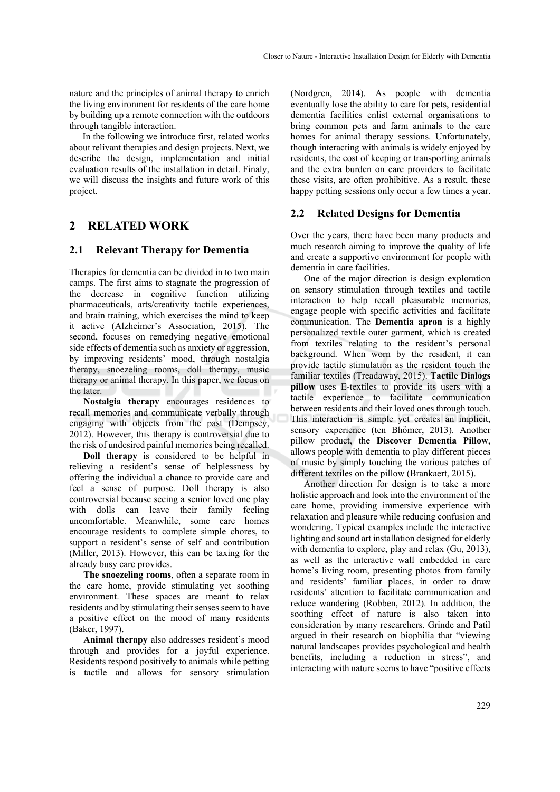nature and the principles of animal therapy to enrich the living environment for residents of the care home by building up a remote connection with the outdoors through tangible interaction.

In the following we introduce first, related works about relivant therapies and design projects. Next, we describe the design, implementation and initial evaluation results of the installation in detail. Finaly, we will discuss the insights and future work of this project.

# **2 RELATED WORK**

### **2.1 Relevant Therapy for Dementia**

Therapies for dementia can be divided in to two main camps. The first aims to stagnate the progression of the decrease in cognitive function utilizing pharmaceuticals, arts/creativity tactile experiences, and brain training, which exercises the mind to keep it active (Alzheimer's Association, 2015). The second, focuses on remedying negative emotional side effects of dementia such as anxiety or aggression, by improving residents' mood, through nostalgia therapy, snoezeling rooms, doll therapy, music therapy or animal therapy. In this paper, we focus on the later.

**Nostalgia therapy** encourages residences to recall memories and communicate verbally through engaging with objects from the past (Dempsey, 2012). However, this therapy is controversial due to the risk of undesired painful memories being recalled.

**Doll therapy** is considered to be helpful in relieving a resident's sense of helplessness by offering the individual a chance to provide care and feel a sense of purpose. Doll therapy is also controversial because seeing a senior loved one play with dolls can leave their family feeling uncomfortable. Meanwhile, some care homes encourage residents to complete simple chores, to support a resident's sense of self and contribution (Miller, 2013). However, this can be taxing for the already busy care provides.

**The snoezeling rooms**, often a separate room in the care home, provide stimulating yet soothing environment. These spaces are meant to relax residents and by stimulating their senses seem to have a positive effect on the mood of many residents (Baker, 1997).

**Animal therapy** also addresses resident's mood through and provides for a joyful experience. Residents respond positively to animals while petting is tactile and allows for sensory stimulation

(Nordgren, 2014). As people with dementia eventually lose the ability to care for pets, residential dementia facilities enlist external organisations to bring common pets and farm animals to the care homes for animal therapy sessions. Unfortunately, though interacting with animals is widely enjoyed by residents, the cost of keeping or transporting animals and the extra burden on care providers to facilitate these visits, are often prohibitive. As a result, these happy petting sessions only occur a few times a year.

## **2.2 Related Designs for Dementia**

Over the years, there have been many products and much research aiming to improve the quality of life and create a supportive environment for people with dementia in care facilities.

One of the major direction is design exploration on sensory stimulation through textiles and tactile interaction to help recall pleasurable memories, engage people with specific activities and facilitate communication. The **Dementia apron** is a highly personalized textile outer garment, which is created from textiles relating to the resident's personal background. When worn by the resident, it can provide tactile stimulation as the resident touch the familiar textiles (Treadaway, 2015). **Tactile Dialogs pillow** uses E-textiles to provide its users with a tactile experience to facilitate communication between residents and their loved ones through touch. This interaction is simple yet creates an implicit, sensory experience (ten Bhömer, 2013). Another pillow product, the **Discover Dementia Pillow**, allows people with dementia to play different pieces of music by simply touching the various patches of different textiles on the pillow (Brankaert, 2015).

Another direction for design is to take a more holistic approach and look into the environment of the care home, providing immersive experience with relaxation and pleasure while reducing confusion and wondering. Typical examples include the interactive lighting and sound art installation designed for elderly with dementia to explore, play and relax (Gu, 2013), as well as the interactive wall embedded in care home's living room, presenting photos from family and residents' familiar places, in order to draw residents' attention to facilitate communication and reduce wandering (Robben, 2012). In addition, the soothing effect of nature is also taken into consideration by many researchers. Grinde and Patil argued in their research on biophilia that "viewing natural landscapes provides psychological and health benefits, including a reduction in stress", and interacting with nature seems to have "positive effects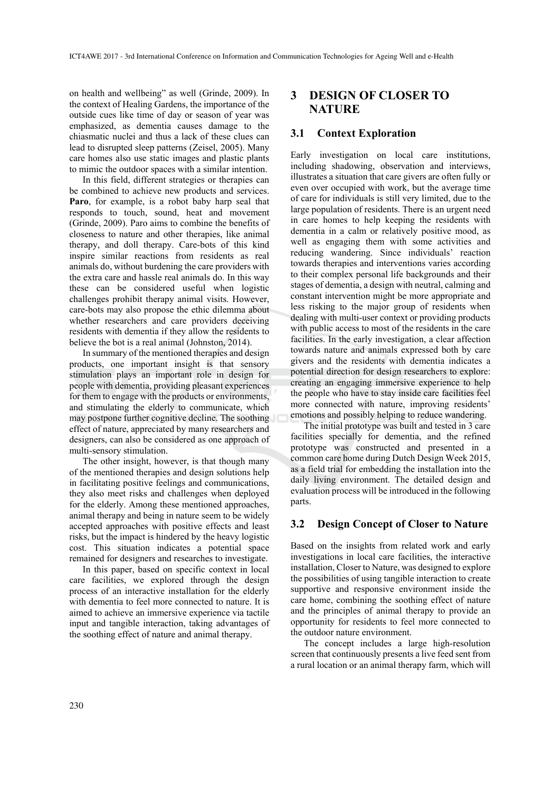on health and wellbeing" as well (Grinde, 2009). In the context of Healing Gardens, the importance of the outside cues like time of day or season of year was emphasized, as dementia causes damage to the chiasmatic nuclei and thus a lack of these clues can lead to disrupted sleep patterns (Zeisel, 2005). Many care homes also use static images and plastic plants to mimic the outdoor spaces with a similar intention.

In this field, different strategies or therapies can be combined to achieve new products and services. **Paro**, for example, is a robot baby harp seal that responds to touch, sound, heat and movement (Grinde, 2009). Paro aims to combine the benefits of closeness to nature and other therapies, like animal therapy, and doll therapy. Care-bots of this kind inspire similar reactions from residents as real animals do, without burdening the care providers with the extra care and hassle real animals do. In this way these can be considered useful when logistic challenges prohibit therapy animal visits. However, care-bots may also propose the ethic dilemma about whether researchers and care providers deceiving residents with dementia if they allow the residents to believe the bot is a real animal (Johnston, 2014).

In summary of the mentioned therapies and design products, one important insight is that sensory stimulation plays an important role in design for people with dementia, providing pleasant experiences for them to engage with the products or environments, and stimulating the elderly to communicate, which may postpone further cognitive decline. The soothing effect of nature, appreciated by many researchers and designers, can also be considered as one approach of multi-sensory stimulation.

The other insight, however, is that though many of the mentioned therapies and design solutions help in facilitating positive feelings and communications, they also meet risks and challenges when deployed for the elderly. Among these mentioned approaches, animal therapy and being in nature seem to be widely accepted approaches with positive effects and least risks, but the impact is hindered by the heavy logistic cost. This situation indicates a potential space remained for designers and researches to investigate.

In this paper, based on specific context in local care facilities, we explored through the design process of an interactive installation for the elderly with dementia to feel more connected to nature. It is aimed to achieve an immersive experience via tactile input and tangible interaction, taking advantages of the soothing effect of nature and animal therapy.

## **3 DESIGN OF CLOSER TO NATURE**

### **3.1 Context Exploration**

Early investigation on local care institutions, including shadowing, observation and interviews, illustrates a situation that care givers are often fully or even over occupied with work, but the average time of care for individuals is still very limited, due to the large population of residents. There is an urgent need in care homes to help keeping the residents with dementia in a calm or relatively positive mood, as well as engaging them with some activities and reducing wandering. Since individuals' reaction towards therapies and interventions varies according to their complex personal life backgrounds and their stages of dementia, a design with neutral, calming and constant intervention might be more appropriate and less risking to the major group of residents when dealing with multi-user context or providing products with public access to most of the residents in the care facilities. In the early investigation, a clear affection towards nature and animals expressed both by care givers and the residents with dementia indicates a potential direction for design researchers to explore: creating an engaging immersive experience to help the people who have to stay inside care facilities feel more connected with nature, improving residents' emotions and possibly helping to reduce wandering.

The initial prototype was built and tested in 3 care facilities specially for dementia, and the refined prototype was constructed and presented in a common care home during Dutch Design Week 2015, as a field trial for embedding the installation into the daily living environment. The detailed design and evaluation process will be introduced in the following parts.

## **3.2 Design Concept of Closer to Nature**

Based on the insights from related work and early investigations in local care facilities, the interactive installation, Closer to Nature, was designed to explore the possibilities of using tangible interaction to create supportive and responsive environment inside the care home, combining the soothing effect of nature and the principles of animal therapy to provide an opportunity for residents to feel more connected to the outdoor nature environment.

The concept includes a large high-resolution screen that continuously presents a live feed sent from a rural location or an animal therapy farm, which will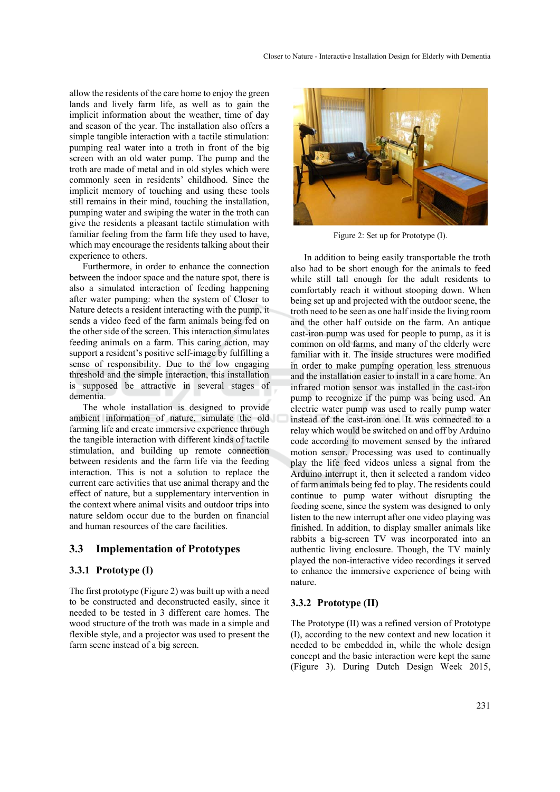allow the residents of the care home to enjoy the green lands and lively farm life, as well as to gain the implicit information about the weather, time of day and season of the year. The installation also offers a simple tangible interaction with a tactile stimulation: pumping real water into a troth in front of the big screen with an old water pump. The pump and the troth are made of metal and in old styles which were commonly seen in residents' childhood. Since the implicit memory of touching and using these tools still remains in their mind, touching the installation, pumping water and swiping the water in the troth can give the residents a pleasant tactile stimulation with familiar feeling from the farm life they used to have, which may encourage the residents talking about their experience to others.

Furthermore, in order to enhance the connection between the indoor space and the nature spot, there is also a simulated interaction of feeding happening after water pumping: when the system of Closer to Nature detects a resident interacting with the pump, it sends a video feed of the farm animals being fed on the other side of the screen. This interaction simulates feeding animals on a farm. This caring action, may support a resident's positive self-image by fulfilling a sense of responsibility. Due to the low engaging threshold and the simple interaction, this installation is supposed be attractive in several stages of dementia.

The whole installation is designed to provide ambient information of nature, simulate the old farming life and create immersive experience through the tangible interaction with different kinds of tactile stimulation, and building up remote connection between residents and the farm life via the feeding interaction. This is not a solution to replace the current care activities that use animal therapy and the effect of nature, but a supplementary intervention in the context where animal visits and outdoor trips into nature seldom occur due to the burden on financial and human resources of the care facilities.

### **3.3 Implementation of Prototypes**

### **3.3.1 Prototype (I)**

The first prototype (Figure 2) was built up with a need to be constructed and deconstructed easily, since it needed to be tested in 3 different care homes. The wood structure of the troth was made in a simple and flexible style, and a projector was used to present the farm scene instead of a big screen.



Figure 2: Set up for Prototype (I).

In addition to being easily transportable the troth also had to be short enough for the animals to feed while still tall enough for the adult residents to comfortably reach it without stooping down. When being set up and projected with the outdoor scene, the troth need to be seen as one half inside the living room and the other half outside on the farm. An antique cast-iron pump was used for people to pump, as it is common on old farms, and many of the elderly were familiar with it. The inside structures were modified in order to make pumping operation less strenuous and the installation easier to install in a care home. An infrared motion sensor was installed in the cast-iron pump to recognize if the pump was being used. An electric water pump was used to really pump water instead of the cast-iron one. It was connected to a relay which would be switched on and off by Arduino code according to movement sensed by the infrared motion sensor. Processing was used to continually play the life feed videos unless a signal from the Arduino interrupt it, then it selected a random video of farm animals being fed to play. The residents could continue to pump water without disrupting the feeding scene, since the system was designed to only listen to the new interrupt after one video playing was finished. In addition, to display smaller animals like rabbits a big-screen TV was incorporated into an authentic living enclosure. Though, the TV mainly played the non-interactive video recordings it served to enhance the immersive experience of being with nature.

#### **3.3.2 Prototype (II)**

The Prototype (II) was a refined version of Prototype (I), according to the new context and new location it needed to be embedded in, while the whole design concept and the basic interaction were kept the same (Figure 3). During Dutch Design Week 2015,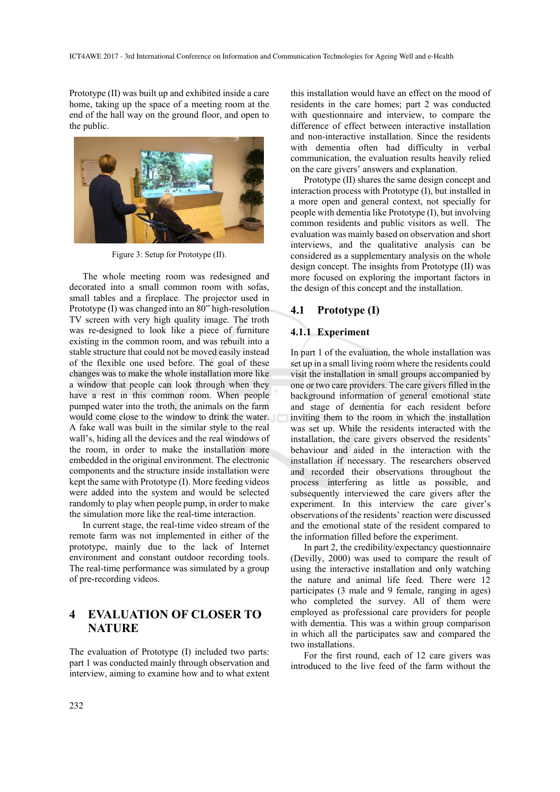Prototype (II) was built up and exhibited inside a care home, taking up the space of a meeting room at the end of the hall way on the ground floor, and open to the public.



Figure 3: Setup for Prototype (II).

The whole meeting room was redesigned and decorated into a small common room with sofas, small tables and a fireplace. The projector used in Prototype (I) was changed into an 80" high-resolution TV screen with very high quality image. The troth was re-designed to look like a piece of furniture existing in the common room, and was rebuilt into a stable structure that could not be moved easily instead of the flexible one used before. The goal of these changes was to make the whole installation more like a window that people can look through when they have a rest in this common room. When people pumped water into the troth, the animals on the farm would come close to the window to drink the water. A fake wall was built in the similar style to the real wall's, hiding all the devices and the real windows of the room, in order to make the installation more embedded in the original environment. The electronic components and the structure inside installation were kept the same with Prototype (I). More feeding videos were added into the system and would be selected randomly to play when people pump, in order to make the simulation more like the real-time interaction.

In current stage, the real-time video stream of the remote farm was not implemented in either of the prototype, mainly due to the lack of Internet environment and constant outdoor recording tools. The real-time performance was simulated by a group of pre-recording videos.

# **4 EVALUATION OF CLOSER TO NATURE**

The evaluation of Prototype (I) included two parts: part 1 was conducted mainly through observation and interview, aiming to examine how and to what extent

this installation would have an effect on the mood of residents in the care homes; part 2 was conducted with questionnaire and interview, to compare the difference of effect between interactive installation and non-interactive installation. Since the residents with dementia often had difficulty in verbal communication, the evaluation results heavily relied on the care givers' answers and explanation.

Prototype (II) shares the same design concept and interaction process with Prototype (I), but installed in a more open and general context, not specially for people with dementia like Prototype (I), but involving common residents and public visitors as well. The evaluation was mainly based on observation and short interviews, and the qualitative analysis can be considered as a supplementary analysis on the whole design concept. The insights from Prototype (II) was more focused on exploring the important factors in the design of this concept and the installation.

### **4.1 Prototype (I)**

### **4.1.1 Experiment**

In part 1 of the evaluation, the whole installation was set up in a small living room where the residents could visit the installation in small groups accompanied by one or two care providers. The care givers filled in the background information of general emotional state and stage of dementia for each resident before inviting them to the room in which the installation was set up. While the residents interacted with the installation, the care givers observed the residents' behaviour and aided in the interaction with the installation if necessary. The researchers observed and recorded their observations throughout the process interfering as little as possible, and subsequently interviewed the care givers after the experiment. In this interview the care giver's observations of the residents' reaction were discussed and the emotional state of the resident compared to the information filled before the experiment.

In part 2, the credibility/expectancy questionnaire (Devilly, 2000) was used to compare the result of using the interactive installation and only watching the nature and animal life feed. There were 12 participates (3 male and 9 female, ranging in ages) who completed the survey. All of them were employed as professional care providers for people with dementia. This was a within group comparison in which all the participates saw and compared the two installations.

For the first round, each of 12 care givers was introduced to the live feed of the farm without the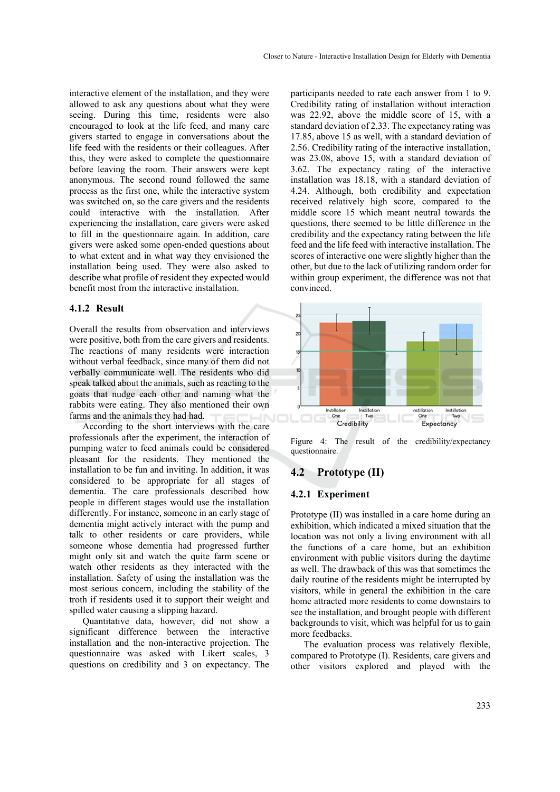interactive element of the installation, and they were allowed to ask any questions about what they were seeing. During this time, residents were also encouraged to look at the life feed, and many care givers started to engage in conversations about the life feed with the residents or their colleagues. After this, they were asked to complete the questionnaire before leaving the room. Their answers were kept anonymous. The second round followed the same process as the first one, while the interactive system was switched on, so the care givers and the residents could interactive with the installation. After experiencing the installation, care givers were asked to fill in the questionnaire again. In addition, care givers were asked some open-ended questions about to what extent and in what way they envisioned the installation being used. They were also asked to describe what profile of resident they expected would benefit most from the interactive installation.

### **4.1.2 Result**

Overall the results from observation and interviews were positive, both from the care givers and residents. The reactions of many residents were interaction without verbal feedback, since many of them did not verbally communicate well. The residents who did speak talked about the animals, such as reacting to the goats that nudge each other and naming what the rabbits were eating. They also mentioned their own farms and the animals they had had.

According to the short interviews with the care professionals after the experiment, the interaction of pumping water to feed animals could be considered pleasant for the residents. They mentioned the installation to be fun and inviting. In addition, it was considered to be appropriate for all stages of dementia. The care professionals described how people in different stages would use the installation differently. For instance, someone in an early stage of dementia might actively interact with the pump and talk to other residents or care providers, while someone whose dementia had progressed further might only sit and watch the quite farm scene or watch other residents as they interacted with the installation. Safety of using the installation was the most serious concern, including the stability of the troth if residents used it to support their weight and spilled water causing a slipping hazard.

Quantitative data, however, did not show a significant difference between the interactive installation and the non-interactive projection. The questionnaire was asked with Likert scales, 3 questions on credibility and 3 on expectancy. The

participants needed to rate each answer from 1 to 9. Credibility rating of installation without interaction was 22.92, above the middle score of 15, with a standard deviation of 2.33. The expectancy rating was 17.85, above 15 as well, with a standard deviation of 2.56. Credibility rating of the interactive installation, was 23.08, above 15, with a standard deviation of 3.62. The expectancy rating of the interactive installation was 18.18, with a standard deviation of 4.24. Although, both credibility and expectation received relatively high score, compared to the middle score 15 which meant neutral towards the questions, there seemed to be little difference in the credibility and the expectancy rating between the life feed and the life feed with interactive installation. The scores of interactive one were slightly higher than the other, but due to the lack of utilizing random order for within group experiment, the difference was not that convinced.



Figure 4: The result of the credibility/expectancy questionnaire.

## **4.2 Prototype (II)**

### **4.2.1 Experiment**

Prototype (II) was installed in a care home during an exhibition, which indicated a mixed situation that the location was not only a living environment with all the functions of a care home, but an exhibition environment with public visitors during the daytime as well. The drawback of this was that sometimes the daily routine of the residents might be interrupted by visitors, while in general the exhibition in the care home attracted more residents to come downstairs to see the installation, and brought people with different backgrounds to visit, which was helpful for us to gain more feedbacks.

The evaluation process was relatively flexible, compared to Prototype (I). Residents, care givers and other visitors explored and played with the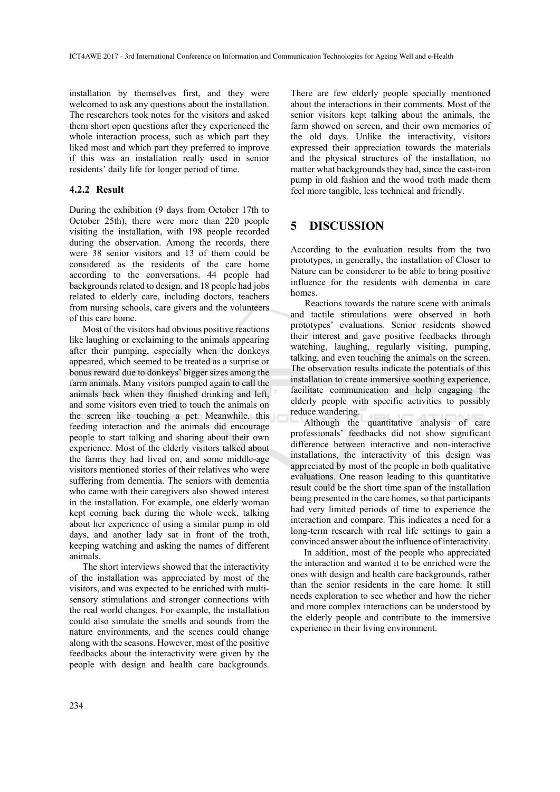installation by themselves first, and they were welcomed to ask any questions about the installation. The researchers took notes for the visitors and asked them short open questions after they experienced the whole interaction process, such as which part they liked most and which part they preferred to improve if this was an installation really used in senior residents' daily life for longer period of time.

### **4.2.2 Result**

During the exhibition (9 days from October 17th to October 25th), there were more than 220 people visiting the installation, with 198 people recorded during the observation. Among the records, there were 38 senior visitors and 13 of them could be considered as the residents of the care home according to the conversations. 44 people had backgrounds related to design, and 18 people had jobs related to elderly care, including doctors, teachers from nursing schools, care givers and the volunteers of this care home.

Most of the visitors had obvious positive reactions like laughing or exclaiming to the animals appearing after their pumping, especially when the donkeys appeared, which seemed to be treated as a surprise or bonus reward due to donkeys' bigger sizes among the farm animals. Many visitors pumped again to call the animals back when they finished drinking and left, and some visitors even tried to touch the animals on the screen like touching a pet. Meanwhile, this feeding interaction and the animals did encourage people to start talking and sharing about their own experience. Most of the elderly visitors talked about the farms they had lived on, and some middle-age visitors mentioned stories of their relatives who were suffering from dementia. The seniors with dementia who came with their caregivers also showed interest in the installation. For example, one elderly woman kept coming back during the whole week, talking about her experience of using a similar pump in old days, and another lady sat in front of the troth, keeping watching and asking the names of different animals.

The short interviews showed that the interactivity of the installation was appreciated by most of the visitors, and was expected to be enriched with multisensory stimulations and stronger connections with the real world changes. For example, the installation could also simulate the smells and sounds from the nature environments, and the scenes could change along with the seasons. However, most of the positive feedbacks about the interactivity were given by the people with design and health care backgrounds.

There are few elderly people specially mentioned about the interactions in their comments. Most of the senior visitors kept talking about the animals, the farm showed on screen, and their own memories of the old days. Unlike the interactivity, visitors expressed their appreciation towards the materials and the physical structures of the installation, no matter what backgrounds they had, since the cast-iron pump in old fashion and the wood troth made them feel more tangible, less technical and friendly.

## **5 DISCUSSION**

According to the evaluation results from the two prototypes, in generally, the installation of Closer to Nature can be considerer to be able to bring positive influence for the residents with dementia in care homes.

 Reactions towards the nature scene with animals and tactile stimulations were observed in both prototypes' evaluations. Senior residents showed their interest and gave positive feedbacks through watching, laughing, regularly visiting, pumping, talking, and even touching the animals on the screen. The observation results indicate the potentials of this installation to create immersive soothing experience, facilitate communication and help engaging the elderly people with specific activities to possibly reduce wandering.

Although the quantitative analysis of care professionals' feedbacks did not show significant difference between interactive and non-interactive installations, the interactivity of this design was appreciated by most of the people in both qualitative evaluations. One reason leading to this quantitative result could be the short time span of the installation being presented in the care homes, so that participants had very limited periods of time to experience the interaction and compare. This indicates a need for a long-term research with real life settings to gain a convinced answer about the influence of interactivity.

In addition, most of the people who appreciated the interaction and wanted it to be enriched were the ones with design and health care backgrounds, rather than the senior residents in the care home. It still needs exploration to see whether and how the richer and more complex interactions can be understood by the elderly people and contribute to the immersive experience in their living environment.